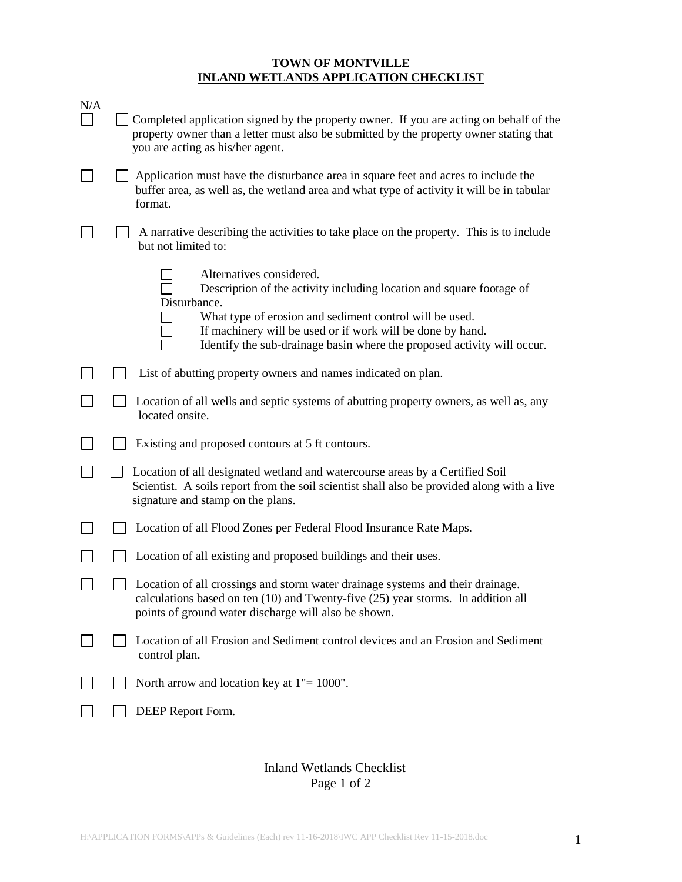## **TOWN OF MONTVILLE INLAND WETLANDS APPLICATION CHECKLIST**

| N/A | Completed application signed by the property owner. If you are acting on behalf of the<br>property owner than a letter must also be submitted by the property owner stating that<br>you are acting as his/her agent.                                                                                                 |
|-----|----------------------------------------------------------------------------------------------------------------------------------------------------------------------------------------------------------------------------------------------------------------------------------------------------------------------|
|     | Application must have the disturbance area in square feet and acres to include the<br>buffer area, as well as, the wetland area and what type of activity it will be in tabular<br>format.                                                                                                                           |
|     | A narrative describing the activities to take place on the property. This is to include<br>but not limited to:                                                                                                                                                                                                       |
|     | Alternatives considered.<br>Description of the activity including location and square footage of<br>Disturbance.<br>What type of erosion and sediment control will be used.<br>If machinery will be used or if work will be done by hand.<br>Identify the sub-drainage basin where the proposed activity will occur. |
|     | List of abutting property owners and names indicated on plan.                                                                                                                                                                                                                                                        |
|     | Location of all wells and septic systems of abutting property owners, as well as, any<br>located onsite.                                                                                                                                                                                                             |
|     | Existing and proposed contours at 5 ft contours.                                                                                                                                                                                                                                                                     |
|     | Location of all designated wetland and watercourse areas by a Certified Soil<br>Scientist. A soils report from the soil scientist shall also be provided along with a live<br>signature and stamp on the plans.                                                                                                      |
|     | Location of all Flood Zones per Federal Flood Insurance Rate Maps.                                                                                                                                                                                                                                                   |
|     | Location of all existing and proposed buildings and their uses.                                                                                                                                                                                                                                                      |
|     | Location of all crossings and storm water drainage systems and their drainage.<br>calculations based on ten (10) and Twenty-five (25) year storms. In addition all<br>points of ground water discharge will also be shown.                                                                                           |
|     | Location of all Erosion and Sediment control devices and an Erosion and Sediment<br>control plan.                                                                                                                                                                                                                    |
|     | North arrow and location key at $1" = 1000"$ .                                                                                                                                                                                                                                                                       |
|     | DEEP Report Form.                                                                                                                                                                                                                                                                                                    |

## Inland Wetlands Checklist Page 1 of 2